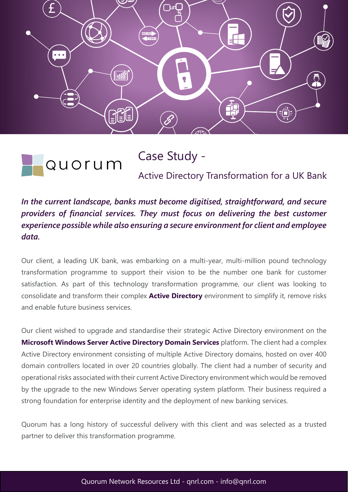

Case Study - Quorum Active Directory Transformation for a UK Bank

*In the current landscape, banks must become digitised, straightforward, and secure providers of financial services. They must focus on delivering the best customer experience possible while also ensuring a secure environment for client and employee data.* 

Our client, a leading UK bank, was embarking on a multi-year, multi-million pound technology transformation programme to support their vision to be the number one bank for customer satisfaction. As part of this technology transformation programme, our client was looking to consolidate and transform their complex **Active Directory** environment to simplify it, remove risks and enable future business services.

Our client wished to upgrade and standardise their strategic Active Directory environment on the **Microsoft Windows Server Active Directory Domain Services** platform. The client had a complex Active Directory environment consisting of multiple Active Directory domains, hosted on over 400 domain controllers located in over 20 countries globally. The client had a number of security and operational risks associated with their current Active Directory environment which would be removed by the upgrade to the new Windows Server operating system platform. Their business required a strong foundation for enterprise identity and the deployment of new banking services.

Quorum has a long history of successful delivery with this client and was selected as a trusted partner to deliver this transformation programme.